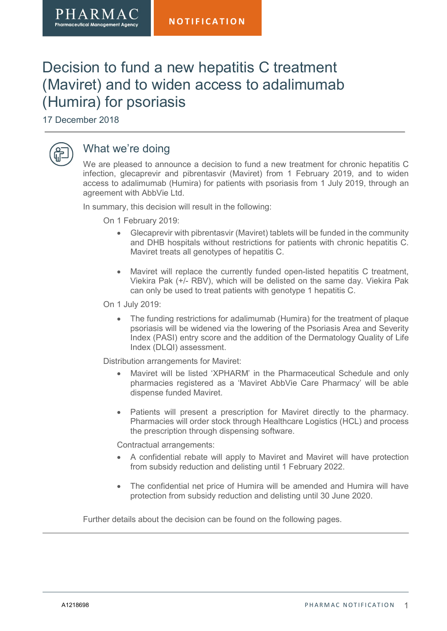# Decision to fund a new hepatitis C treatment (Maviret) and to widen access to adalimumab (Humira) for psoriasis

17 December 2018

PHARMA **Pharmaceutical Management Agency** 



## What we're doing

We are pleased to announce a decision to fund a new treatment for chronic hepatitis C infection, glecaprevir and pibrentasvir (Maviret) from 1 February 2019, and to widen access to adalimumab (Humira) for patients with psoriasis from 1 July 2019, through an agreement with AbbVie Ltd.

In summary, this decision will result in the following:

On 1 February 2019:

- Glecaprevir with pibrentasvir (Maviret) tablets will be funded in the community and DHB hospitals without restrictions for patients with chronic hepatitis C. Maviret treats all genotypes of hepatitis C.
- Maviret will replace the currently funded open-listed hepatitis C treatment, Viekira Pak (+/- RBV), which will be delisted on the same day. Viekira Pak can only be used to treat patients with genotype 1 hepatitis C.

On 1 July 2019:

 The funding restrictions for adalimumab (Humira) for the treatment of plaque psoriasis will be widened via the lowering of the Psoriasis Area and Severity Index (PASI) entry score and the addition of the Dermatology Quality of Life Index (DLQI) assessment.

Distribution arrangements for Maviret:

- Maviret will be listed 'XPHARM' in the Pharmaceutical Schedule and only pharmacies registered as a 'Maviret AbbVie Care Pharmacy' will be able dispense funded Maviret.
- Patients will present a prescription for Maviret directly to the pharmacy. Pharmacies will order stock through Healthcare Logistics (HCL) and process the prescription through dispensing software.

Contractual arrangements:

- A confidential rebate will apply to Maviret and Maviret will have protection from subsidy reduction and delisting until 1 February 2022.
- The confidential net price of Humira will be amended and Humira will have protection from subsidy reduction and delisting until 30 June 2020.

Further details about the decision can be found on the following pages.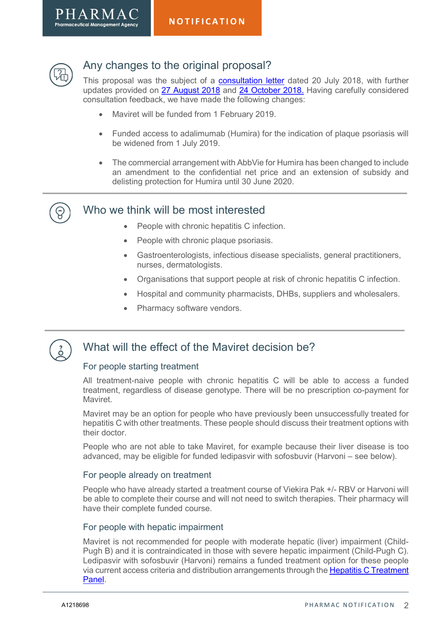



## Any changes to the original proposal?

This proposal was the subject of a [consultation letter](https://www.pharmac.govt.nz/news/consultation-2018-07-20-hep-c-glecaprevir-pibrentasvir/) dated 20 July 2018, with further updates provided on [27 August 2018](https://www.pharmac.govt.nz/news/consultation-2018-08-27-hep-c-glecaprevir-pibrentasvir-2/) and [24 October 2018.](https://www.pharmac.govt.nz/news/notification-2018-10-24-hep-c-glecaprevir-pibrentasvir/) Having carefully considered consultation feedback, we have made the following changes:

- Maviret will be funded from 1 February 2019.
- Funded access to adalimumab (Humira) for the indication of plaque psoriasis will be widened from 1 July 2019.
- The commercial arrangement with AbbVie for Humira has been changed to include an amendment to the confidential net price and an extension of subsidy and delisting protection for Humira until 30 June 2020.

### Who we think will be most interested

- People with chronic hepatitis C infection.
- People with chronic plaque psoriasis.
- Gastroenterologists, infectious disease specialists, general practitioners, nurses, dermatologists.
- Organisations that support people at risk of chronic hepatitis C infection.
- Hospital and community pharmacists, DHBs, suppliers and wholesalers.
- Pharmacy software vendors.



## What will the effect of the Maviret decision be?

### For people starting treatment

All treatment-naive people with chronic hepatitis C will be able to access a funded treatment, regardless of disease genotype. There will be no prescription co-payment for Maviret.

Maviret may be an option for people who have previously been unsuccessfully treated for hepatitis C with other treatments. These people should discuss their treatment options with their doctor.

People who are not able to take Maviret, for example because their liver disease is too advanced, may be eligible for funded ledipasvir with sofosbuvir (Harvoni – see below).

#### For people already on treatment

People who have already started a treatment course of Viekira Pak +/- RBV or Harvoni will be able to complete their course and will not need to switch therapies. Their pharmacy will have their complete funded course.

#### For people with hepatic impairment

Maviret is not recommended for people with moderate hepatic (liver) impairment (Child-Pugh B) and it is contraindicated in those with severe hepatic impairment (Child-Pugh C). Ledipasvir with sofosbuvir (Harvoni) remains a funded treatment option for these people [via current access criteria and distribution arrangements through the Hepatitis C Treatment](https://www.pharmac.govt.nz/medicines/my-medicine-has-changed/hepatitis-c-treatments/)  Panel.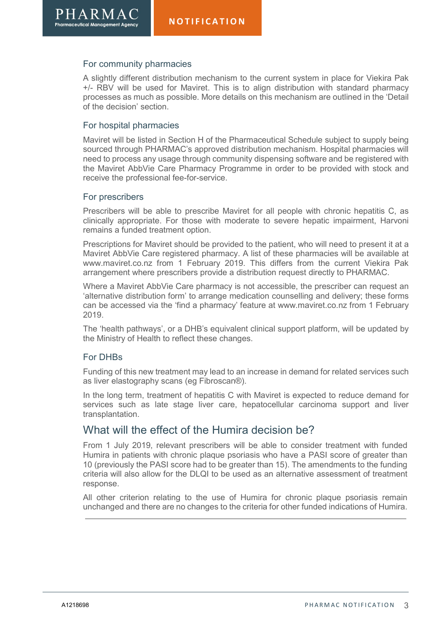#### For community pharmacies

PHARMA **Pharmaceutical Management /** 

> A slightly different distribution mechanism to the current system in place for Viekira Pak +/- RBV will be used for Maviret. This is to align distribution with standard pharmacy processes as much as possible. More details on this mechanism are outlined in the 'Detail of the decision' section.

#### For hospital pharmacies

Maviret will be listed in Section H of the Pharmaceutical Schedule subject to supply being sourced through PHARMAC's approved distribution mechanism. Hospital pharmacies will need to process any usage through community dispensing software and be registered with the Maviret AbbVie Care Pharmacy Programme in order to be provided with stock and receive the professional fee-for-service.

#### For prescribers

Prescribers will be able to prescribe Maviret for all people with chronic hepatitis C, as clinically appropriate. For those with moderate to severe hepatic impairment, Harvoni remains a funded treatment option.

Prescriptions for Maviret should be provided to the patient, who will need to present it at a Maviret AbbVie Care registered pharmacy. A list of these pharmacies will be available at www.maviret.co.nz from 1 February 2019. This differs from the current Viekira Pak arrangement where prescribers provide a distribution request directly to PHARMAC.

Where a Maviret AbbVie Care pharmacy is not accessible, the prescriber can request an 'alternative distribution form' to arrange medication counselling and delivery; these forms can be accessed via the 'find a pharmacy' feature at www.maviret.co.nz from 1 February 2019.

The 'health pathways', or a DHB's equivalent clinical support platform, will be updated by the Ministry of Health to reflect these changes.

#### For DHBs

Funding of this new treatment may lead to an increase in demand for related services such as liver elastography scans (eg Fibroscan®).

In the long term, treatment of hepatitis C with Maviret is expected to reduce demand for services such as late stage liver care, hepatocellular carcinoma support and liver transplantation.

### What will the effect of the Humira decision be?

From 1 July 2019, relevant prescribers will be able to consider treatment with funded Humira in patients with chronic plaque psoriasis who have a PASI score of greater than 10 (previously the PASI score had to be greater than 15). The amendments to the funding criteria will also allow for the DLQI to be used as an alternative assessment of treatment response.

All other criterion relating to the use of Humira for chronic plaque psoriasis remain unchanged and there are no changes to the criteria for other funded indications of Humira.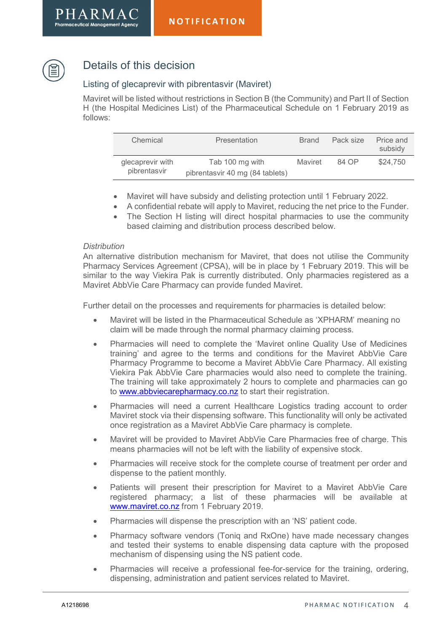



# Details of this decision

### Listing of glecaprevir with pibrentasvir (Maviret)

Maviret will be listed without restrictions in Section B (the Community) and Part II of Section H (the Hospital Medicines List) of the Pharmaceutical Schedule on 1 February 2019 as follows:

| Chemical                         | Presentation                                       | <b>Brand</b> | Pack size | Price and<br>subsidy |
|----------------------------------|----------------------------------------------------|--------------|-----------|----------------------|
| glecaprevir with<br>pibrentasvir | Tab 100 mg with<br>pibrentasvir 40 mg (84 tablets) | Maviret      | 84 OP     | \$24,750             |

- Maviret will have subsidy and delisting protection until 1 February 2022.
- A confidential rebate will apply to Maviret, reducing the net price to the Funder.
- The Section H listing will direct hospital pharmacies to use the community based claiming and distribution process described below.

#### **Distribution**

An alternative distribution mechanism for Maviret, that does not utilise the Community Pharmacy Services Agreement (CPSA), will be in place by 1 February 2019. This will be similar to the way Viekira Pak is currently distributed. Only pharmacies registered as a Maviret AbbVie Care Pharmacy can provide funded Maviret.

Further detail on the processes and requirements for pharmacies is detailed below:

- Maviret will be listed in the Pharmaceutical Schedule as 'XPHARM' meaning no claim will be made through the normal pharmacy claiming process.
- Pharmacies will need to complete the 'Maviret online Quality Use of Medicines training' and agree to the terms and conditions for the Maviret AbbVie Care Pharmacy Programme to become a Maviret AbbVie Care Pharmacy. All existing Viekira Pak AbbVie Care pharmacies would also need to complete the training. The training will take approximately 2 hours to complete and pharmacies can go to www.abbviecarepharmacy.co.nz to start their registration.
- Pharmacies will need a current Healthcare Logistics trading account to order Maviret stock via their dispensing software. This functionality will only be activated once registration as a Maviret AbbVie Care pharmacy is complete.
- Maviret will be provided to Maviret AbbVie Care Pharmacies free of charge. This means pharmacies will not be left with the liability of expensive stock.
- Pharmacies will receive stock for the complete course of treatment per order and dispense to the patient monthly.
- Patients will present their prescription for Maviret to a Maviret AbbVie Care registered pharmacy; a list of these pharmacies will be available at www.maviret.co.nz from 1 February 2019.
- Pharmacies will dispense the prescription with an 'NS' patient code.
- Pharmacy software vendors (Toniq and RxOne) have made necessary changes and tested their systems to enable dispensing data capture with the proposed mechanism of dispensing using the NS patient code.
- Pharmacies will receive a professional fee-for-service for the training, ordering, dispensing, administration and patient services related to Maviret.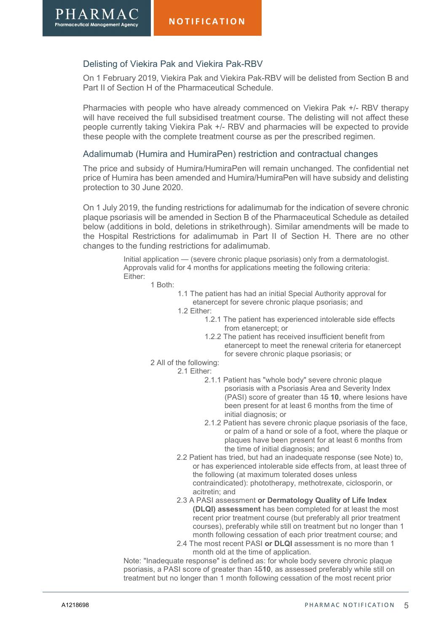#### Delisting of Viekira Pak and Viekira Pak-RBV

 $PHARMAC$ 

On 1 February 2019, Viekira Pak and Viekira Pak-RBV will be delisted from Section B and Part II of Section H of the Pharmaceutical Schedule.

Pharmacies with people who have already commenced on Viekira Pak +/- RBV therapy will have received the full subsidised treatment course. The delisting will not affect these people currently taking Viekira Pak +/- RBV and pharmacies will be expected to provide these people with the complete treatment course as per the prescribed regimen.

#### Adalimumab (Humira and HumiraPen) restriction and contractual changes

The price and subsidy of Humira/HumiraPen will remain unchanged. The confidential net price of Humira has been amended and Humira/HumiraPen will have subsidy and delisting protection to 30 June 2020.

On 1 July 2019, the funding restrictions for adalimumab for the indication of severe chronic plaque psoriasis will be amended in Section B of the Pharmaceutical Schedule as detailed below (additions in bold, deletions in strikethrough). Similar amendments will be made to the Hospital Restrictions for adalimumab in Part II of Section H. There are no other changes to the funding restrictions for adalimumab.

> Initial application — (severe chronic plaque psoriasis) only from a dermatologist. Approvals valid for 4 months for applications meeting the following criteria: Either:

1 Both:

1.1 The patient has had an initial Special Authority approval for etanercept for severe chronic plaque psoriasis; and

1.2 Either:

- 1.2.1 The patient has experienced intolerable side effects from etanercept; or
- 1.2.2 The patient has received insufficient benefit from etanercept to meet the renewal criteria for etanercept for severe chronic plaque psoriasis; or

#### 2 All of the following:

- 2.1 Either:
	- 2.1.1 Patient has "whole body" severe chronic plaque psoriasis with a Psoriasis Area and Severity Index (PASI) score of greater than 15 10, where lesions have been present for at least 6 months from the time of initial diagnosis; or
	- 2.1.2 Patient has severe chronic plaque psoriasis of the face, or palm of a hand or sole of a foot, where the plaque or plaques have been present for at least 6 months from the time of initial diagnosis; and
	- 2.2 Patient has tried, but had an inadequate response (see Note) to, or has experienced intolerable side effects from, at least three of the following (at maximum tolerated doses unless contraindicated): phototherapy, methotrexate, ciclosporin, or acitretin; and
	- 2.3 A PASI assessment or Dermatology Quality of Life Index (DLQI) assessment has been completed for at least the most recent prior treatment course (but preferably all prior treatment courses), preferably while still on treatment but no longer than 1 month following cessation of each prior treatment course; and
	- 2.4 The most recent PASI or DLQI assessment is no more than 1 month old at the time of application.

Note: "Inadequate response" is defined as: for whole body severe chronic plaque psoriasis, a PASI score of greater than 1510, as assessed preferably while still on treatment but no longer than 1 month following cessation of the most recent prior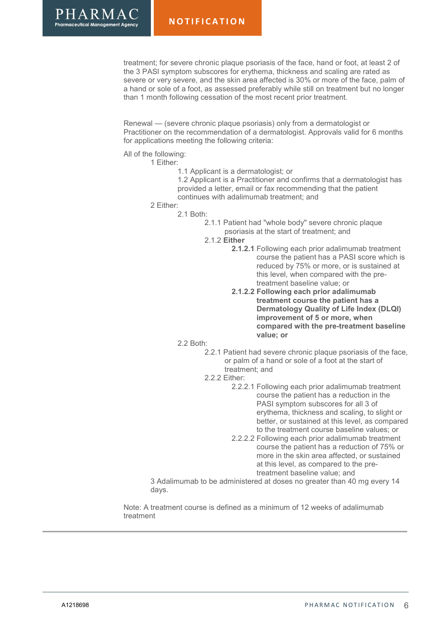treatment; for severe chronic plaque psoriasis of the face, hand or foot, at least 2 of the 3 PASI symptom subscores for erythema, thickness and scaling are rated as severe or very severe, and the skin area affected is 30% or more of the face, palm of a hand or sole of a foot, as assessed preferably while still on treatment but no longer than 1 month following cessation of the most recent prior treatment.

Renewal — (severe chronic plaque psoriasis) only from a dermatologist or Practitioner on the recommendation of a dermatologist. Approvals valid for 6 months for applications meeting the following criteria:

All of the following:

1 Either:

1.1 Applicant is a dermatologist; or

1.2 Applicant is a Practitioner and confirms that a dermatologist has provided a letter, email or fax recommending that the patient continues with adalimumab treatment; and

2 Either:

2.1 Both:

2.1.1 Patient had "whole body" severe chronic plaque psoriasis at the start of treatment; and

- 2.1.2 Either
	- 2.1.2.1 Following each prior adalimumab treatment course the patient has a PASI score which is reduced by 75% or more, or is sustained at this level, when compared with the pretreatment baseline value; or
	- 2.1.2.2 Following each prior adalimumab treatment course the patient has a Dermatology Quality of Life Index (DLQI) improvement of 5 or more, when compared with the pre-treatment baseline value; or
- 2.2 Both:

2.2.1 Patient had severe chronic plaque psoriasis of the face, or palm of a hand or sole of a foot at the start of treatment; and

- 2.2.2 Either:
	- 2.2.2.1 Following each prior adalimumab treatment course the patient has a reduction in the PASI symptom subscores for all 3 of erythema, thickness and scaling, to slight or better, or sustained at this level, as compared to the treatment course baseline values; or
	- 2.2.2.2 Following each prior adalimumab treatment course the patient has a reduction of 75% or more in the skin area affected, or sustained at this level, as compared to the pretreatment baseline value; and

3 Adalimumab to be administered at doses no greater than 40 mg every 14 days.

Note: A treatment course is defined as a minimum of 12 weeks of adalimumab treatment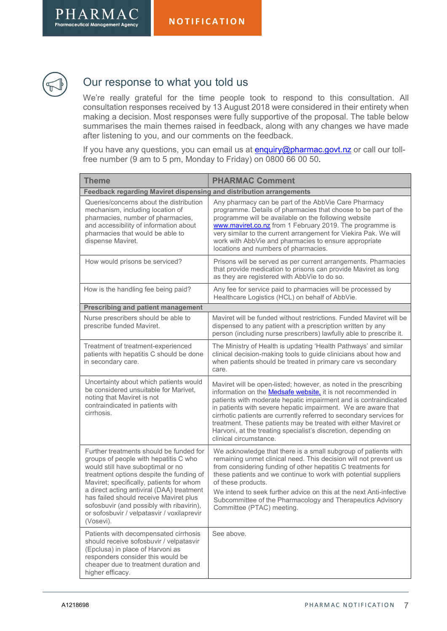



# Our response to what you told us

We're really grateful for the time people took to respond to this consultation. All consultation responses received by 13 August 2018 were considered in their entirety when making a decision. Most responses were fully supportive of the proposal. The table below summarises the main themes raised in feedback, along with any changes we have made after listening to you, and our comments on the feedback.

If you have any questions, you can email us at **enquiry@pharmac.govt.nz** or call our tollfree number (9 am to 5 pm, Monday to Friday) on 0800 66 00 50.

| <b>Theme</b>                                                                                                                                                                                                                                                                                                                                                                                                 | <b>PHARMAC Comment</b>                                                                                                                                                                                                                                                                                                                                                                                                                                                                                               |  |  |  |
|--------------------------------------------------------------------------------------------------------------------------------------------------------------------------------------------------------------------------------------------------------------------------------------------------------------------------------------------------------------------------------------------------------------|----------------------------------------------------------------------------------------------------------------------------------------------------------------------------------------------------------------------------------------------------------------------------------------------------------------------------------------------------------------------------------------------------------------------------------------------------------------------------------------------------------------------|--|--|--|
| Feedback regarding Maviret dispensing and distribution arrangements                                                                                                                                                                                                                                                                                                                                          |                                                                                                                                                                                                                                                                                                                                                                                                                                                                                                                      |  |  |  |
| Queries/concerns about the distribution<br>mechanism, including location of<br>pharmacies, number of pharmacies,<br>and accessibility of information about<br>pharmacies that would be able to<br>dispense Maviret.                                                                                                                                                                                          | Any pharmacy can be part of the AbbVie Care Pharmacy<br>programme. Details of pharmacies that choose to be part of the<br>programme will be available on the following website<br>www.maviret.co.nz from 1 February 2019. The programme is<br>very similar to the current arrangement for Viekira Pak. We will<br>work with AbbVie and pharmacies to ensure appropriate<br>locations and numbers of pharmacies.                                                                                                      |  |  |  |
| How would prisons be serviced?                                                                                                                                                                                                                                                                                                                                                                               | Prisons will be served as per current arrangements. Pharmacies<br>that provide medication to prisons can provide Maviret as long<br>as they are registered with AbbVie to do so.                                                                                                                                                                                                                                                                                                                                     |  |  |  |
| How is the handling fee being paid?                                                                                                                                                                                                                                                                                                                                                                          | Any fee for service paid to pharmacies will be processed by<br>Healthcare Logistics (HCL) on behalf of AbbVie.                                                                                                                                                                                                                                                                                                                                                                                                       |  |  |  |
| <b>Prescribing and patient management</b>                                                                                                                                                                                                                                                                                                                                                                    |                                                                                                                                                                                                                                                                                                                                                                                                                                                                                                                      |  |  |  |
| Nurse prescribers should be able to<br>prescribe funded Maviret.                                                                                                                                                                                                                                                                                                                                             | Maviret will be funded without restrictions. Funded Maviret will be<br>dispensed to any patient with a prescription written by any<br>person (including nurse prescribers) lawfully able to prescribe it.                                                                                                                                                                                                                                                                                                            |  |  |  |
| Treatment of treatment-experienced<br>patients with hepatitis C should be done<br>in secondary care.                                                                                                                                                                                                                                                                                                         | The Ministry of Health is updating 'Health Pathways' and similar<br>clinical decision-making tools to guide clinicians about how and<br>when patients should be treated in primary care vs secondary<br>care.                                                                                                                                                                                                                                                                                                        |  |  |  |
| Uncertainty about which patients would<br>be considered unsuitable for Marivet,<br>noting that Maviret is not<br>contraindicated in patients with<br>cirrhosis.                                                                                                                                                                                                                                              | Maviret will be open-listed; however, as noted in the prescribing<br>information on the <b>Medsafe website</b> , it is not recommended in<br>patients with moderate hepatic impairment and is contraindicated<br>in patients with severe hepatic impairment. We are aware that<br>cirrhotic patients are currently referred to secondary services for<br>treatment. These patients may be treated with either Maviret or<br>Harvoni, at the treating specialist's discretion, depending on<br>clinical circumstance. |  |  |  |
| Further treatments should be funded for<br>groups of people with hepatitis C who<br>would still have suboptimal or no<br>treatment options despite the funding of<br>Maviret; specifically, patients for whom<br>a direct acting antiviral (DAA) treatment<br>has failed should receive Maviret plus<br>sofosbuvir (and possibly with ribavirin),<br>or sofosbuvir / velpatasvir / voxilaprevir<br>(Vosevi). | We acknowledge that there is a small subgroup of patients with<br>remaining unmet clinical need. This decision will not prevent us<br>from considering funding of other hepatitis C treatments for<br>these patients and we continue to work with potential suppliers<br>of these products.<br>We intend to seek further advice on this at the next Anti-infective<br>Subcommittee of the Pharmacology and Therapeutics Advisory<br>Committee (PTAC) meeting.                                                        |  |  |  |
| Patients with decompensated cirrhosis<br>should receive sofosbuvir / velpatasvir<br>(Epclusa) in place of Harvoni as<br>responders consider this would be<br>cheaper due to treatment duration and<br>higher efficacy.                                                                                                                                                                                       | See above.                                                                                                                                                                                                                                                                                                                                                                                                                                                                                                           |  |  |  |